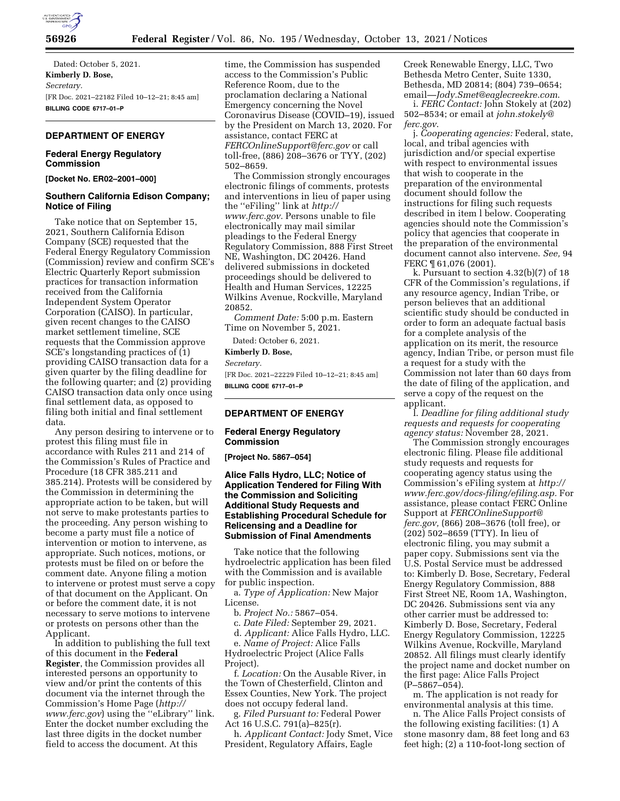

Dated: October 5, 2021. **Kimberly D. Bose,**  *Secretary.*  [FR Doc. 2021–22182 Filed 10–12–21; 8:45 am] **BILLING CODE 6717–01–P** 

#### **DEPARTMENT OF ENERGY**

## **Federal Energy Regulatory Commission**

**[Docket No. ER02–2001–000]** 

## **Southern California Edison Company; Notice of Filing**

Take notice that on September 15, 2021, Southern California Edison Company (SCE) requested that the Federal Energy Regulatory Commission (Commission) review and confirm SCE's Electric Quarterly Report submission practices for transaction information received from the California Independent System Operator Corporation (CAISO). In particular, given recent changes to the CAISO market settlement timeline, SCE requests that the Commission approve SCE's longstanding practices of (1) providing CAISO transaction data for a given quarter by the filing deadline for the following quarter; and (2) providing CAISO transaction data only once using final settlement data, as opposed to filing both initial and final settlement data.

Any person desiring to intervene or to protest this filing must file in accordance with Rules 211 and 214 of the Commission's Rules of Practice and Procedure (18 CFR 385.211 and 385.214). Protests will be considered by the Commission in determining the appropriate action to be taken, but will not serve to make protestants parties to the proceeding. Any person wishing to become a party must file a notice of intervention or motion to intervene, as appropriate. Such notices, motions, or protests must be filed on or before the comment date. Anyone filing a motion to intervene or protest must serve a copy of that document on the Applicant. On or before the comment date, it is not necessary to serve motions to intervene or protests on persons other than the Applicant.

In addition to publishing the full text of this document in the **Federal Register**, the Commission provides all interested persons an opportunity to view and/or print the contents of this document via the internet through the Commission's Home Page (*[http://](http://www.ferc.gov) [www.ferc.gov](http://www.ferc.gov)*) using the ''eLibrary'' link. Enter the docket number excluding the last three digits in the docket number field to access the document. At this

time, the Commission has suspended access to the Commission's Public Reference Room, due to the proclamation declaring a National Emergency concerning the Novel Coronavirus Disease (COVID–19), issued by the President on March 13, 2020. For assistance, contact FERC at *[FERCOnlineSupport@ferc.gov](mailto:FERCOnlineSupport@ferc.gov)* or call toll-free, (886) 208–3676 or TYY, (202) 502–8659.

The Commission strongly encourages electronic filings of comments, protests and interventions in lieu of paper using the ''eFiling'' link at *[http://](http://www.ferc.gov) [www.ferc.gov.](http://www.ferc.gov)* Persons unable to file electronically may mail similar pleadings to the Federal Energy Regulatory Commission, 888 First Street NE, Washington, DC 20426. Hand delivered submissions in docketed proceedings should be delivered to Health and Human Services, 12225 Wilkins Avenue, Rockville, Maryland 20852.

*Comment Date:* 5:00 p.m. Eastern Time on November 5, 2021.

Dated: October 6, 2021.

#### **Kimberly D. Bose,**

*Secretary.* 

[FR Doc. 2021–22229 Filed 10–12–21; 8:45 am] **BILLING CODE 6717–01–P** 

## **DEPARTMENT OF ENERGY**

## **Federal Energy Regulatory Commission**

**[Project No. 5867–054]** 

## **Alice Falls Hydro, LLC; Notice of Application Tendered for Filing With the Commission and Soliciting Additional Study Requests and Establishing Procedural Schedule for Relicensing and a Deadline for Submission of Final Amendments**

Take notice that the following hydroelectric application has been filed with the Commission and is available for public inspection.

a. *Type of Application:* New Major License.

b. *Project No.:* 5867–054.

c. *Date Filed:* September 29, 2021.

d. *Applicant:* Alice Falls Hydro, LLC. e. *Name of Project:* Alice Falls Hydroelectric Project (Alice Falls Project).

f. *Location:* On the Ausable River, in the Town of Chesterfield, Clinton and Essex Counties, New York. The project does not occupy federal land.

g. *Filed Pursuant to:* Federal Power Act 16 U.S.C. 791(a)–825(r).

h. *Applicant Contact:* Jody Smet, Vice President, Regulatory Affairs, Eagle

Creek Renewable Energy, LLC, Two Bethesda Metro Center, Suite 1330, Bethesda, MD 20814; (804) 739–0654; email—*[Jody.Smet@eaglecreekre.com](mailto:Jody.Smet@eaglecreekre.com)*.

i. *FERC Contact:* John Stokely at (202) 502–8534; or email at *[john.stokely@](mailto:john.stokely@ferc.gov) [ferc.gov](mailto:john.stokely@ferc.gov)*.

j. *Cooperating agencies:* Federal, state, local, and tribal agencies with jurisdiction and/or special expertise with respect to environmental issues that wish to cooperate in the preparation of the environmental document should follow the instructions for filing such requests described in item l below. Cooperating agencies should note the Commission's policy that agencies that cooperate in the preparation of the environmental document cannot also intervene. *See,* 94 FERC ¶ 61,076 (2001).

k. Pursuant to section 4.32(b)(7) of 18 CFR of the Commission's regulations, if any resource agency, Indian Tribe, or person believes that an additional scientific study should be conducted in order to form an adequate factual basis for a complete analysis of the application on its merit, the resource agency, Indian Tribe, or person must file a request for a study with the Commission not later than 60 days from the date of filing of the application, and serve a copy of the request on the applicant.

l. *Deadline for filing additional study requests and requests for cooperating agency status:* November 28, 2021.

The Commission strongly encourages electronic filing. Please file additional study requests and requests for cooperating agency status using the Commission's eFiling system at *[http://](http://www.ferc.gov/docs-filing/efiling.asp) [www.ferc.gov/docs-filing/efiling.asp.](http://www.ferc.gov/docs-filing/efiling.asp)* For assistance, please contact FERC Online Support at *[FERCOnlineSupport@](mailto:FERCOnlineSupport@ferc.gov) [ferc.gov,](mailto:FERCOnlineSupport@ferc.gov)* (866) 208–3676 (toll free), or (202) 502–8659 (TTY). In lieu of electronic filing, you may submit a paper copy. Submissions sent via the U.S. Postal Service must be addressed to: Kimberly D. Bose, Secretary, Federal Energy Regulatory Commission, 888 First Street NE, Room 1A, Washington, DC 20426. Submissions sent via any other carrier must be addressed to: Kimberly D. Bose, Secretary, Federal Energy Regulatory Commission, 12225 Wilkins Avenue, Rockville, Maryland 20852. All filings must clearly identify the project name and docket number on the first page: Alice Falls Project (P–5867–054).

m. The application is not ready for environmental analysis at this time.

n. The Alice Falls Project consists of the following existing facilities: (1) A stone masonry dam, 88 feet long and 63 feet high; (2) a 110-foot-long section of